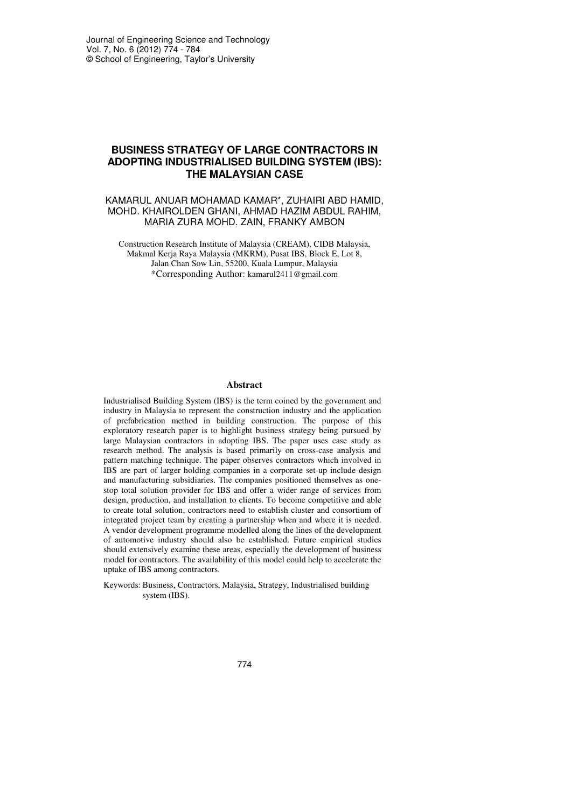# **BUSINESS STRATEGY OF LARGE CONTRACTORS IN ADOPTING INDUSTRIALISED BUILDING SYSTEM (IBS): THE MALAYSIAN CASE**

# KAMARUL ANUAR MOHAMAD KAMAR\*, ZUHAIRI ABD HAMID, MOHD. KHAIROLDEN GHANI, AHMAD HAZIM ABDUL RAHIM, MARIA ZURA MOHD. ZAIN, FRANKY AMBON

Construction Research Institute of Malaysia (CREAM), CIDB Malaysia, Makmal Kerja Raya Malaysia (MKRM), Pusat IBS, Block E, Lot 8, Jalan Chan Sow Lin, 55200, Kuala Lumpur, Malaysia \*Corresponding Author: kamarul2411@gmail.com

#### **Abstract**

Industrialised Building System (IBS) is the term coined by the government and industry in Malaysia to represent the construction industry and the application of prefabrication method in building construction. The purpose of this exploratory research paper is to highlight business strategy being pursued by large Malaysian contractors in adopting IBS. The paper uses case study as research method. The analysis is based primarily on cross-case analysis and pattern matching technique. The paper observes contractors which involved in IBS are part of larger holding companies in a corporate set-up include design and manufacturing subsidiaries. The companies positioned themselves as onestop total solution provider for IBS and offer a wider range of services from design, production, and installation to clients. To become competitive and able to create total solution, contractors need to establish cluster and consortium of integrated project team by creating a partnership when and where it is needed. A vendor development programme modelled along the lines of the development of automotive industry should also be established. Future empirical studies should extensively examine these areas, especially the development of business model for contractors. The availability of this model could help to accelerate the uptake of IBS among contractors.

Keywords: Business, Contractors, Malaysia, Strategy, Industrialised building system (IBS).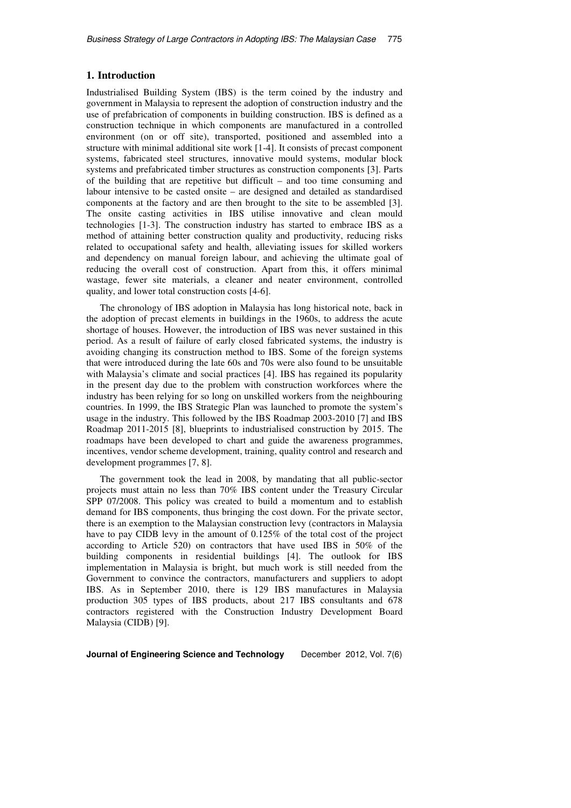### **1. Introduction**

Industrialised Building System (IBS) is the term coined by the industry and government in Malaysia to represent the adoption of construction industry and the use of prefabrication of components in building construction. IBS is defined as a construction technique in which components are manufactured in a controlled environment (on or off site), transported, positioned and assembled into a structure with minimal additional site work [1-4]. It consists of precast component systems, fabricated steel structures, innovative mould systems, modular block systems and prefabricated timber structures as construction components [3]. Parts of the building that are repetitive but difficult – and too time consuming and labour intensive to be casted onsite – are designed and detailed as standardised components at the factory and are then brought to the site to be assembled [3]. The onsite casting activities in IBS utilise innovative and clean mould technologies [1-3]. The construction industry has started to embrace IBS as a method of attaining better construction quality and productivity, reducing risks related to occupational safety and health, alleviating issues for skilled workers and dependency on manual foreign labour, and achieving the ultimate goal of reducing the overall cost of construction. Apart from this, it offers minimal wastage, fewer site materials, a cleaner and neater environment, controlled quality, and lower total construction costs [4-6].

The chronology of IBS adoption in Malaysia has long historical note, back in the adoption of precast elements in buildings in the 1960s, to address the acute shortage of houses. However, the introduction of IBS was never sustained in this period. As a result of failure of early closed fabricated systems, the industry is avoiding changing its construction method to IBS. Some of the foreign systems that were introduced during the late 60s and 70s were also found to be unsuitable with Malaysia's climate and social practices [4]. IBS has regained its popularity in the present day due to the problem with construction workforces where the industry has been relying for so long on unskilled workers from the neighbouring countries. In 1999, the IBS Strategic Plan was launched to promote the system's usage in the industry. This followed by the IBS Roadmap 2003-2010 [7] and IBS Roadmap 2011-2015 [8], blueprints to industrialised construction by 2015. The roadmaps have been developed to chart and guide the awareness programmes, incentives, vendor scheme development, training, quality control and research and development programmes [7, 8].

The government took the lead in 2008, by mandating that all public-sector projects must attain no less than 70% IBS content under the Treasury Circular SPP 07/2008. This policy was created to build a momentum and to establish demand for IBS components, thus bringing the cost down. For the private sector, there is an exemption to the Malaysian construction levy (contractors in Malaysia have to pay CIDB levy in the amount of 0.125% of the total cost of the project according to Article 520) on contractors that have used IBS in 50% of the building components in residential buildings [4]. The outlook for IBS implementation in Malaysia is bright, but much work is still needed from the Government to convince the contractors, manufacturers and suppliers to adopt IBS. As in September 2010, there is 129 IBS manufactures in Malaysia production 305 types of IBS products, about 217 IBS consultants and 678 contractors registered with the Construction Industry Development Board Malaysia (CIDB) [9].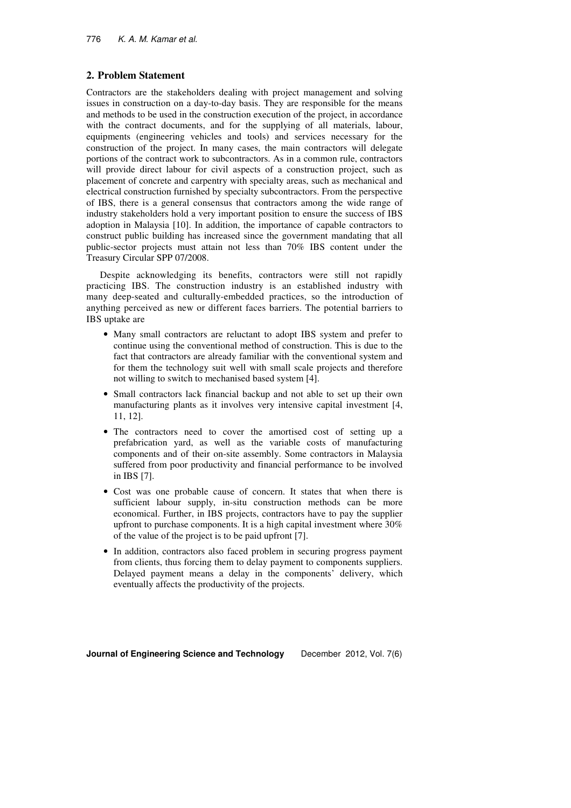# **2. Problem Statement**

Contractors are the stakeholders dealing with project management and solving issues in construction on a day-to-day basis. They are responsible for the means and methods to be used in the construction execution of the project, in accordance with the contract documents, and for the supplying of all materials, labour, equipments (engineering vehicles and tools) and services necessary for the construction of the project. In many cases, the main contractors will delegate portions of the contract work to subcontractors. As in a common rule, contractors will provide direct labour for civil aspects of a construction project, such as placement of concrete and carpentry with specialty areas, such as mechanical and electrical construction furnished by specialty subcontractors. From the perspective of IBS, there is a general consensus that contractors among the wide range of industry stakeholders hold a very important position to ensure the success of IBS adoption in Malaysia [10]. In addition, the importance of capable contractors to construct public building has increased since the government mandating that all public-sector projects must attain not less than 70% IBS content under the Treasury Circular SPP 07/2008.

Despite acknowledging its benefits, contractors were still not rapidly practicing IBS. The construction industry is an established industry with many deep-seated and culturally-embedded practices, so the introduction of anything perceived as new or different faces barriers. The potential barriers to IBS uptake are

- Many small contractors are reluctant to adopt IBS system and prefer to continue using the conventional method of construction. This is due to the fact that contractors are already familiar with the conventional system and for them the technology suit well with small scale projects and therefore not willing to switch to mechanised based system [4].
- Small contractors lack financial backup and not able to set up their own manufacturing plants as it involves very intensive capital investment [4, 11, 12].
- The contractors need to cover the amortised cost of setting up a prefabrication yard, as well as the variable costs of manufacturing components and of their on-site assembly. Some contractors in Malaysia suffered from poor productivity and financial performance to be involved in IBS [7].
- Cost was one probable cause of concern. It states that when there is sufficient labour supply, in-situ construction methods can be more economical. Further, in IBS projects, contractors have to pay the supplier upfront to purchase components. It is a high capital investment where 30% of the value of the project is to be paid upfront [7].
- In addition, contractors also faced problem in securing progress payment from clients, thus forcing them to delay payment to components suppliers. Delayed payment means a delay in the components' delivery, which eventually affects the productivity of the projects.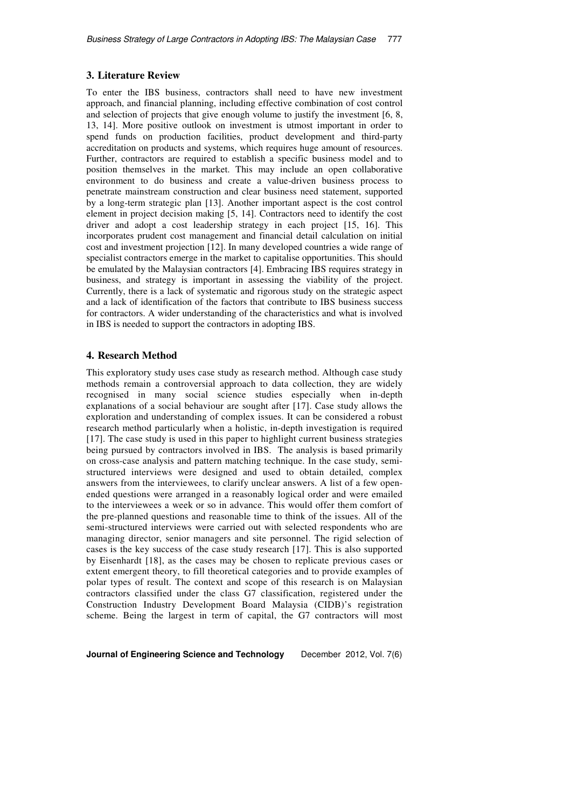#### **3. Literature Review**

To enter the IBS business, contractors shall need to have new investment approach, and financial planning, including effective combination of cost control and selection of projects that give enough volume to justify the investment [6, 8, 13, 14]. More positive outlook on investment is utmost important in order to spend funds on production facilities, product development and third-party accreditation on products and systems, which requires huge amount of resources. Further, contractors are required to establish a specific business model and to position themselves in the market. This may include an open collaborative environment to do business and create a value-driven business process to penetrate mainstream construction and clear business need statement, supported by a long-term strategic plan [13]. Another important aspect is the cost control element in project decision making [5, 14]. Contractors need to identify the cost driver and adopt a cost leadership strategy in each project [15, 16]. This incorporates prudent cost management and financial detail calculation on initial cost and investment projection [12]. In many developed countries a wide range of specialist contractors emerge in the market to capitalise opportunities. This should be emulated by the Malaysian contractors [4]. Embracing IBS requires strategy in business, and strategy is important in assessing the viability of the project. Currently, there is a lack of systematic and rigorous study on the strategic aspect and a lack of identification of the factors that contribute to IBS business success for contractors. A wider understanding of the characteristics and what is involved in IBS is needed to support the contractors in adopting IBS.

### **4. Research Method**

This exploratory study uses case study as research method. Although case study methods remain a controversial approach to data collection, they are widely recognised in many social science studies especially when in-depth explanations of a social behaviour are sought after [17]. Case study allows the exploration and understanding of complex issues. It can be considered a robust research method particularly when a holistic, in-depth investigation is required [17]. The case study is used in this paper to highlight current business strategies being pursued by contractors involved in IBS. The analysis is based primarily on cross-case analysis and pattern matching technique. In the case study, semistructured interviews were designed and used to obtain detailed, complex answers from the interviewees, to clarify unclear answers. A list of a few openended questions were arranged in a reasonably logical order and were emailed to the interviewees a week or so in advance. This would offer them comfort of the pre-planned questions and reasonable time to think of the issues. All of the semi-structured interviews were carried out with selected respondents who are managing director, senior managers and site personnel. The rigid selection of cases is the key success of the case study research [17]. This is also supported by Eisenhardt [18], as the cases may be chosen to replicate previous cases or extent emergent theory, to fill theoretical categories and to provide examples of polar types of result. The context and scope of this research is on Malaysian contractors classified under the class G7 classification, registered under the Construction Industry Development Board Malaysia (CIDB)'s registration scheme. Being the largest in term of capital, the G7 contractors will most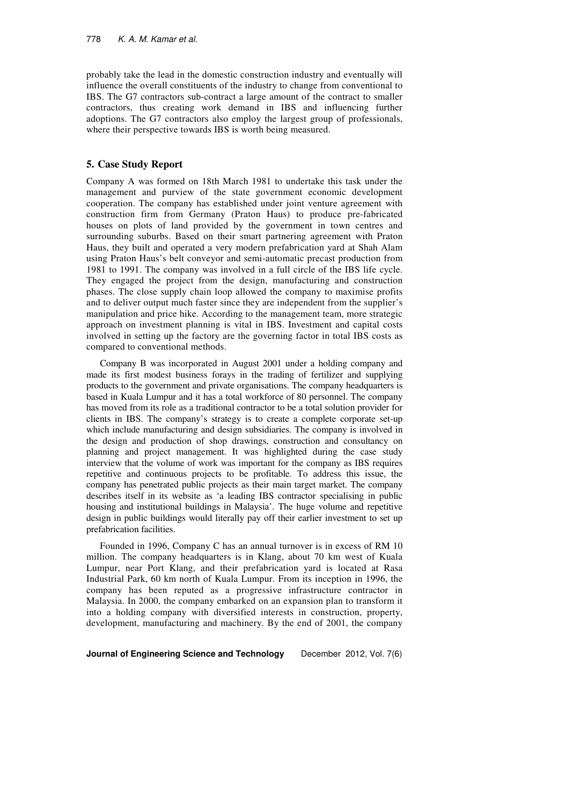probably take the lead in the domestic construction industry and eventually will influence the overall constituents of the industry to change from conventional to IBS. The G7 contractors sub-contract a large amount of the contract to smaller contractors, thus creating work demand in IBS and influencing further adoptions. The G7 contractors also employ the largest group of professionals, where their perspective towards IBS is worth being measured.

### **5. Case Study Report**

Company A was formed on 18th March 1981 to undertake this task under the management and purview of the state government economic development cooperation. The company has established under joint venture agreement with construction firm from Germany (Praton Haus) to produce pre-fabricated houses on plots of land provided by the government in town centres and surrounding suburbs. Based on their smart partnering agreement with Praton Haus, they built and operated a very modern prefabrication yard at Shah Alam using Praton Haus's belt conveyor and semi-automatic precast production from 1981 to 1991. The company was involved in a full circle of the IBS life cycle. They engaged the project from the design, manufacturing and construction phases. The close supply chain loop allowed the company to maximise profits and to deliver output much faster since they are independent from the supplier's manipulation and price hike. According to the management team, more strategic approach on investment planning is vital in IBS. Investment and capital costs involved in setting up the factory are the governing factor in total IBS costs as compared to conventional methods.

Company B was incorporated in August 2001 under a holding company and made its first modest business forays in the trading of fertilizer and supplying products to the government and private organisations. The company headquarters is based in Kuala Lumpur and it has a total workforce of 80 personnel. The company has moved from its role as a traditional contractor to be a total solution provider for clients in IBS. The company's strategy is to create a complete corporate set-up which include manufacturing and design subsidiaries. The company is involved in the design and production of shop drawings, construction and consultancy on planning and project management. It was highlighted during the case study interview that the volume of work was important for the company as IBS requires repetitive and continuous projects to be profitable. To address this issue, the company has penetrated public projects as their main target market. The company describes itself in its website as 'a leading IBS contractor specialising in public housing and institutional buildings in Malaysia'. The huge volume and repetitive design in public buildings would literally pay off their earlier investment to set up prefabrication facilities.

Founded in 1996, Company C has an annual turnover is in excess of RM 10 million. The company headquarters is in Klang, about 70 km west of Kuala Lumpur, near Port Klang, and their prefabrication yard is located at Rasa Industrial Park, 60 km north of Kuala Lumpur. From its inception in 1996, the company has been reputed as a progressive infrastructure contractor in Malaysia. In 2000, the company embarked on an expansion plan to transform it into a holding company with diversified interests in construction, property, development, manufacturing and machinery. By the end of 2001, the company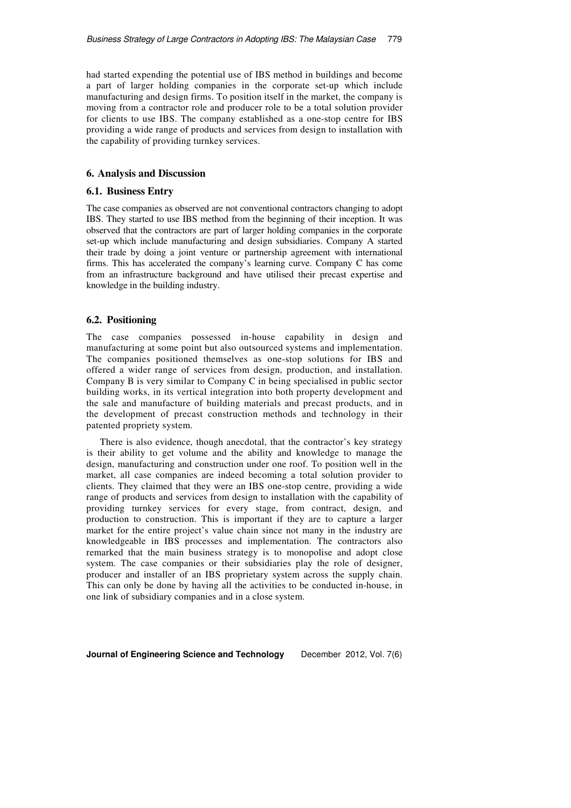had started expending the potential use of IBS method in buildings and become a part of larger holding companies in the corporate set-up which include manufacturing and design firms. To position itself in the market, the company is moving from a contractor role and producer role to be a total solution provider for clients to use IBS. The company established as a one-stop centre for IBS providing a wide range of products and services from design to installation with the capability of providing turnkey services.

### **6. Analysis and Discussion**

#### **6.1. Business Entry**

The case companies as observed are not conventional contractors changing to adopt IBS. They started to use IBS method from the beginning of their inception. It was observed that the contractors are part of larger holding companies in the corporate set-up which include manufacturing and design subsidiaries. Company A started their trade by doing a joint venture or partnership agreement with international firms. This has accelerated the company's learning curve. Company C has come from an infrastructure background and have utilised their precast expertise and knowledge in the building industry.

# **6.2. Positioning**

The case companies possessed in-house capability in design and manufacturing at some point but also outsourced systems and implementation. The companies positioned themselves as one-stop solutions for IBS and offered a wider range of services from design, production, and installation. Company B is very similar to Company C in being specialised in public sector building works, in its vertical integration into both property development and the sale and manufacture of building materials and precast products, and in the development of precast construction methods and technology in their patented propriety system.

There is also evidence, though anecdotal, that the contractor's key strategy is their ability to get volume and the ability and knowledge to manage the design, manufacturing and construction under one roof. To position well in the market, all case companies are indeed becoming a total solution provider to clients. They claimed that they were an IBS one-stop centre, providing a wide range of products and services from design to installation with the capability of providing turnkey services for every stage, from contract, design, and production to construction. This is important if they are to capture a larger market for the entire project's value chain since not many in the industry are knowledgeable in IBS processes and implementation. The contractors also remarked that the main business strategy is to monopolise and adopt close system. The case companies or their subsidiaries play the role of designer, producer and installer of an IBS proprietary system across the supply chain. This can only be done by having all the activities to be conducted in-house, in one link of subsidiary companies and in a close system.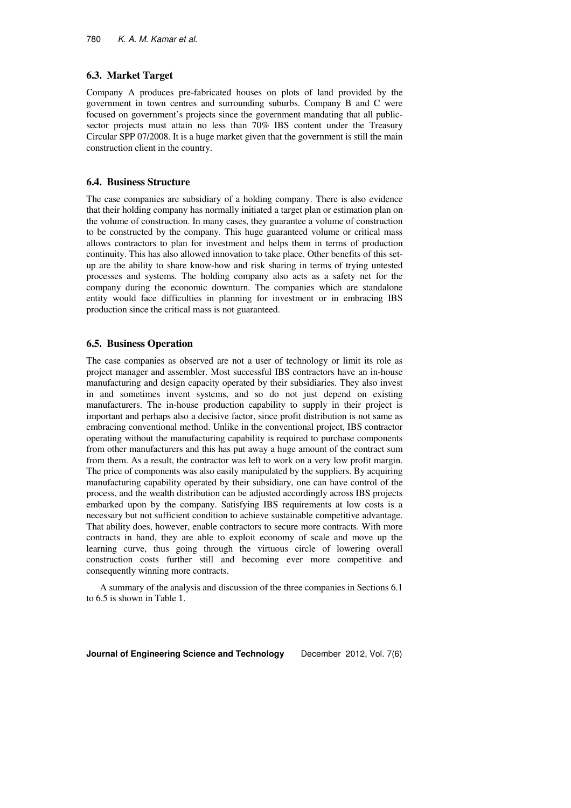# **6.3. Market Target**

Company A produces pre-fabricated houses on plots of land provided by the government in town centres and surrounding suburbs. Company B and C were focused on government's projects since the government mandating that all publicsector projects must attain no less than 70% IBS content under the Treasury Circular SPP 07/2008. It is a huge market given that the government is still the main construction client in the country.

# **6.4. Business Structure**

The case companies are subsidiary of a holding company. There is also evidence that their holding company has normally initiated a target plan or estimation plan on the volume of construction. In many cases, they guarantee a volume of construction to be constructed by the company. This huge guaranteed volume or critical mass allows contractors to plan for investment and helps them in terms of production continuity. This has also allowed innovation to take place. Other benefits of this setup are the ability to share know-how and risk sharing in terms of trying untested processes and systems. The holding company also acts as a safety net for the company during the economic downturn. The companies which are standalone entity would face difficulties in planning for investment or in embracing IBS production since the critical mass is not guaranteed.

# **6.5. Business Operation**

The case companies as observed are not a user of technology or limit its role as project manager and assembler. Most successful IBS contractors have an in-house manufacturing and design capacity operated by their subsidiaries. They also invest in and sometimes invent systems, and so do not just depend on existing manufacturers. The in-house production capability to supply in their project is important and perhaps also a decisive factor, since profit distribution is not same as embracing conventional method. Unlike in the conventional project, IBS contractor operating without the manufacturing capability is required to purchase components from other manufacturers and this has put away a huge amount of the contract sum from them. As a result, the contractor was left to work on a very low profit margin. The price of components was also easily manipulated by the suppliers. By acquiring manufacturing capability operated by their subsidiary, one can have control of the process, and the wealth distribution can be adjusted accordingly across IBS projects embarked upon by the company. Satisfying IBS requirements at low costs is a necessary but not sufficient condition to achieve sustainable competitive advantage. That ability does, however, enable contractors to secure more contracts. With more contracts in hand, they are able to exploit economy of scale and move up the learning curve, thus going through the virtuous circle of lowering overall construction costs further still and becoming ever more competitive and consequently winning more contracts.

A summary of the analysis and discussion of the three companies in Sections 6.1 to 6.5 is shown in Table 1.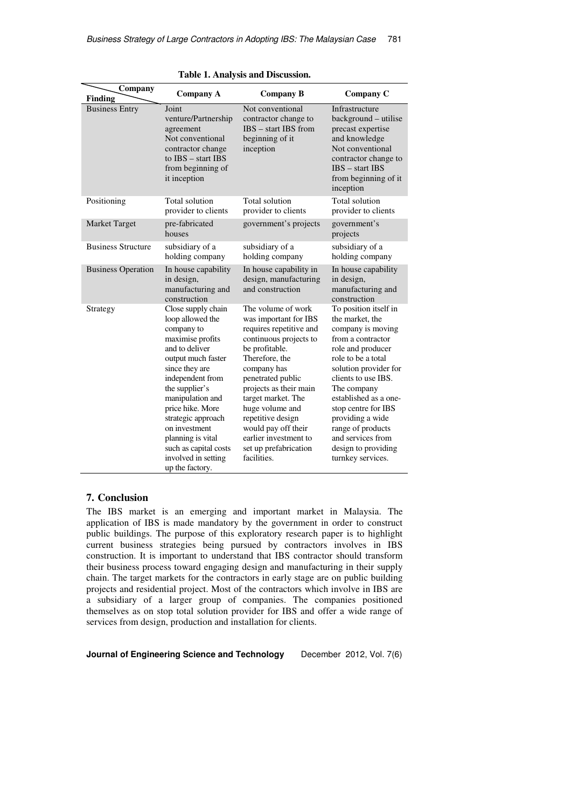| Company<br><b>Finding</b> | <b>Company A</b>                                                                                                                                                                                                                                                                                                                                | <b>Company B</b>                                                                                                                                                                                                                                                                                                                                         | Company C                                                                                                                                                                                                                                                                                                                                              |
|---------------------------|-------------------------------------------------------------------------------------------------------------------------------------------------------------------------------------------------------------------------------------------------------------------------------------------------------------------------------------------------|----------------------------------------------------------------------------------------------------------------------------------------------------------------------------------------------------------------------------------------------------------------------------------------------------------------------------------------------------------|--------------------------------------------------------------------------------------------------------------------------------------------------------------------------------------------------------------------------------------------------------------------------------------------------------------------------------------------------------|
| <b>Business Entry</b>     | Joint<br>venture/Partnership<br>agreement<br>Not conventional<br>contractor change<br>to $IBS - start IBS$<br>from beginning of<br>it inception                                                                                                                                                                                                 | Not conventional<br>contractor change to<br>IBS - start IBS from<br>beginning of it<br>inception                                                                                                                                                                                                                                                         | Infrastructure<br>background - utilise<br>precast expertise<br>and knowledge<br>Not conventional<br>contractor change to<br>$IBS - startIBS$<br>from beginning of it<br>inception                                                                                                                                                                      |
| Positioning               | Total solution<br>provider to clients                                                                                                                                                                                                                                                                                                           | <b>Total solution</b><br>provider to clients                                                                                                                                                                                                                                                                                                             | Total solution<br>provider to clients                                                                                                                                                                                                                                                                                                                  |
| <b>Market Target</b>      | pre-fabricated<br>houses                                                                                                                                                                                                                                                                                                                        | government's projects                                                                                                                                                                                                                                                                                                                                    | government's<br>projects                                                                                                                                                                                                                                                                                                                               |
| <b>Business Structure</b> | subsidiary of a<br>holding company                                                                                                                                                                                                                                                                                                              | subsidiary of a<br>holding company                                                                                                                                                                                                                                                                                                                       | subsidiary of a<br>holding company                                                                                                                                                                                                                                                                                                                     |
| <b>Business Operation</b> | In house capability<br>in design,<br>manufacturing and<br>construction                                                                                                                                                                                                                                                                          | In house capability in<br>design, manufacturing<br>and construction                                                                                                                                                                                                                                                                                      | In house capability<br>in design,<br>manufacturing and<br>construction                                                                                                                                                                                                                                                                                 |
| Strategy                  | Close supply chain<br>loop allowed the<br>company to<br>maximise profits<br>and to deliver<br>output much faster<br>since they are<br>independent from<br>the supplier's<br>manipulation and<br>price hike. More<br>strategic approach<br>on investment<br>planning is vital<br>such as capital costs<br>involved in setting<br>up the factory. | The volume of work<br>was important for IBS<br>requires repetitive and<br>continuous projects to<br>be profitable.<br>Therefore, the<br>company has<br>penetrated public<br>projects as their main<br>target market. The<br>huge volume and<br>repetitive design<br>would pay off their<br>earlier investment to<br>set up prefabrication<br>facilities. | To position itself in<br>the market, the<br>company is moving<br>from a contractor<br>role and producer<br>role to be a total<br>solution provider for<br>clients to use IBS.<br>The company<br>established as a one-<br>stop centre for IBS<br>providing a wide<br>range of products<br>and services from<br>design to providing<br>turnkey services. |

**Table 1. Analysis and Discussion.** 

### **7. Conclusion**

The IBS market is an emerging and important market in Malaysia. The application of IBS is made mandatory by the government in order to construct public buildings. The purpose of this exploratory research paper is to highlight current business strategies being pursued by contractors involves in IBS construction. It is important to understand that IBS contractor should transform their business process toward engaging design and manufacturing in their supply chain. The target markets for the contractors in early stage are on public building projects and residential project. Most of the contractors which involve in IBS are a subsidiary of a larger group of companies. The companies positioned themselves as on stop total solution provider for IBS and offer a wide range of services from design, production and installation for clients.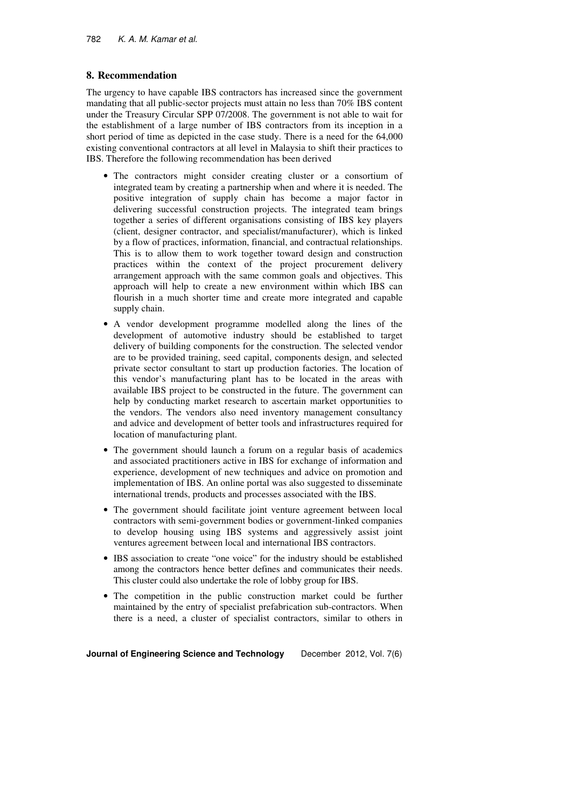# **8. Recommendation**

The urgency to have capable IBS contractors has increased since the government mandating that all public-sector projects must attain no less than 70% IBS content under the Treasury Circular SPP 07/2008. The government is not able to wait for the establishment of a large number of IBS contractors from its inception in a short period of time as depicted in the case study. There is a need for the 64,000 existing conventional contractors at all level in Malaysia to shift their practices to IBS. Therefore the following recommendation has been derived

- The contractors might consider creating cluster or a consortium of integrated team by creating a partnership when and where it is needed. The positive integration of supply chain has become a major factor in delivering successful construction projects. The integrated team brings together a series of different organisations consisting of IBS key players (client, designer contractor, and specialist/manufacturer), which is linked by a flow of practices, information, financial, and contractual relationships. This is to allow them to work together toward design and construction practices within the context of the project procurement delivery arrangement approach with the same common goals and objectives. This approach will help to create a new environment within which IBS can flourish in a much shorter time and create more integrated and capable supply chain.
- A vendor development programme modelled along the lines of the development of automotive industry should be established to target delivery of building components for the construction. The selected vendor are to be provided training, seed capital, components design, and selected private sector consultant to start up production factories. The location of this vendor's manufacturing plant has to be located in the areas with available IBS project to be constructed in the future. The government can help by conducting market research to ascertain market opportunities to the vendors. The vendors also need inventory management consultancy and advice and development of better tools and infrastructures required for location of manufacturing plant.
- The government should launch a forum on a regular basis of academics and associated practitioners active in IBS for exchange of information and experience, development of new techniques and advice on promotion and implementation of IBS. An online portal was also suggested to disseminate international trends, products and processes associated with the IBS.
- The government should facilitate joint venture agreement between local contractors with semi-government bodies or government-linked companies to develop housing using IBS systems and aggressively assist joint ventures agreement between local and international IBS contractors.
- IBS association to create "one voice" for the industry should be established among the contractors hence better defines and communicates their needs. This cluster could also undertake the role of lobby group for IBS.
- The competition in the public construction market could be further maintained by the entry of specialist prefabrication sub-contractors. When there is a need, a cluster of specialist contractors, similar to others in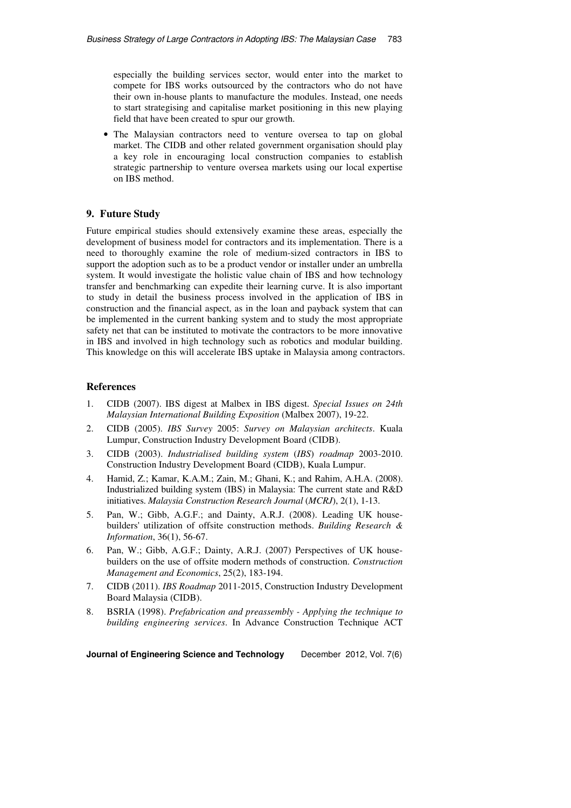especially the building services sector, would enter into the market to compete for IBS works outsourced by the contractors who do not have their own in-house plants to manufacture the modules. Instead, one needs to start strategising and capitalise market positioning in this new playing field that have been created to spur our growth.

• The Malaysian contractors need to venture oversea to tap on global market. The CIDB and other related government organisation should play a key role in encouraging local construction companies to establish strategic partnership to venture oversea markets using our local expertise on IBS method.

### **9. Future Study**

Future empirical studies should extensively examine these areas, especially the development of business model for contractors and its implementation. There is a need to thoroughly examine the role of medium-sized contractors in IBS to support the adoption such as to be a product vendor or installer under an umbrella system. It would investigate the holistic value chain of IBS and how technology transfer and benchmarking can expedite their learning curve. It is also important to study in detail the business process involved in the application of IBS in construction and the financial aspect, as in the loan and payback system that can be implemented in the current banking system and to study the most appropriate safety net that can be instituted to motivate the contractors to be more innovative in IBS and involved in high technology such as robotics and modular building. This knowledge on this will accelerate IBS uptake in Malaysia among contractors.

# **References**

- 1. CIDB (2007). IBS digest at Malbex in IBS digest. *Special Issues on 24th Malaysian International Building Exposition* (Malbex 2007), 19-22.
- 2. CIDB (2005). *IBS Survey* 2005: *Survey on Malaysian architects*. Kuala Lumpur, Construction Industry Development Board (CIDB).
- 3. CIDB (2003). *Industrialised building system* (*IBS*) *roadmap* 2003-2010. Construction Industry Development Board (CIDB), Kuala Lumpur.
- 4. Hamid, Z.; Kamar, K.A.M.; Zain, M.; Ghani, K.; and Rahim, A.H.A. (2008). Industrialized building system (IBS) in Malaysia: The current state and R&D initiatives. *Malaysia Construction Research Journal* (*MCRJ*), 2(1), 1-13.
- 5. Pan, W.; Gibb, A.G.F.; and Dainty, A.R.J. (2008). Leading UK housebuilders' utilization of offsite construction methods. *Building Research & Information*, 36(1), 56-67.
- 6. Pan, W.; Gibb, A.G.F.; Dainty, A.R.J. (2007) Perspectives of UK housebuilders on the use of offsite modern methods of construction. *Construction Management and Economics*, 25(2), 183-194.
- 7. CIDB (2011). *IBS Roadmap* 2011-2015, Construction Industry Development Board Malaysia (CIDB).
- 8. BSRIA (1998). *Prefabrication and preassembly Applying the technique to building engineering services*. In Advance Construction Technique ACT